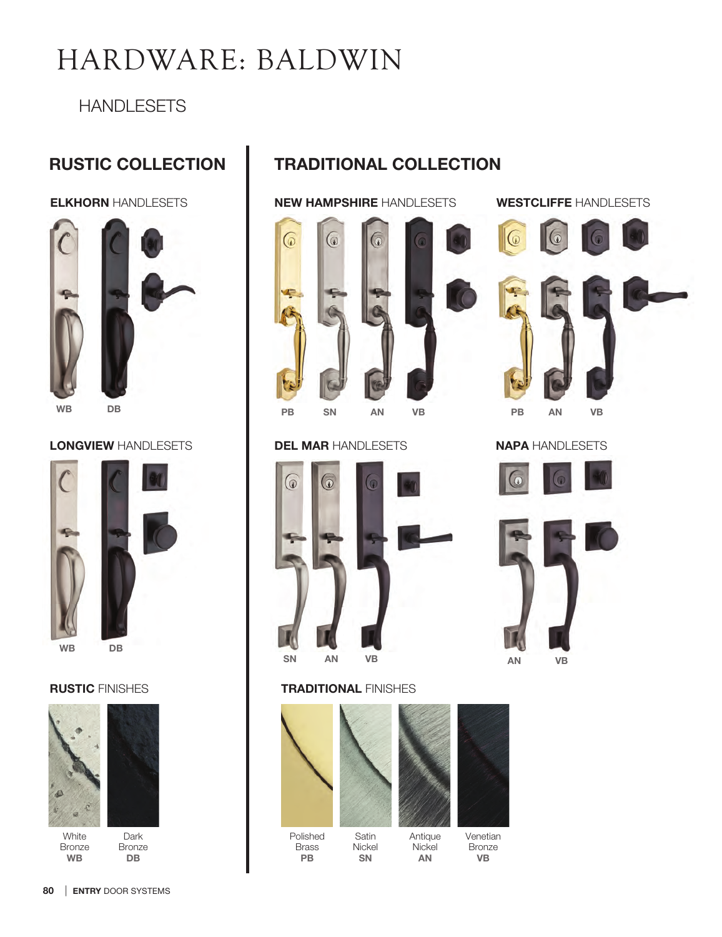# HARDWARE: BALDWIN

## **HANDLESETS**

# RUSTIC COLLECTION



### LONGVIEW HANDLESETS





WB DB



**White** Bronze WB

```
Dark 
Bronze
 DB
```
# TRADITIONAL COLLECTION



#### DEL MAR HANDLESETS



#### RUSTIC FINISHES **TRADITIONAL FINISHES**



SN

PB



#### Antique **Nickel** AN



ELKHORN HANDLESETS **WEW HAMPSHIRE** HANDLESETS WESTCLIFFE HANDLESETS





PB AN VB

NAPA HANDLESETS





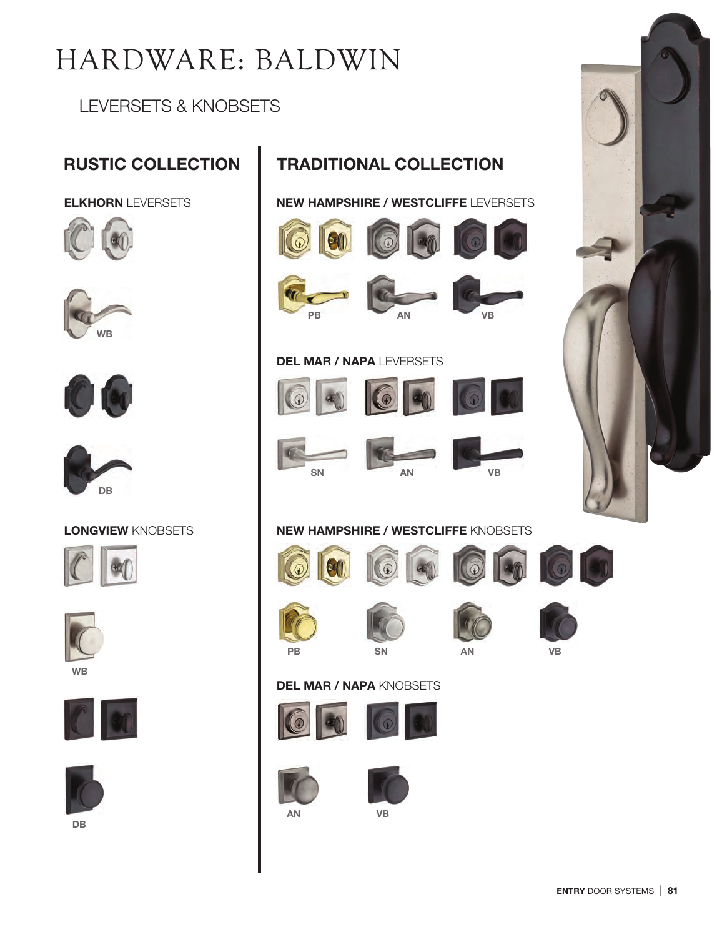# HARDWARE: BALDWIN

LEVERSETS & KNOBSETS

ELKHORN LEVERSETS









#### LONGVIEW KNOBSETS











DB

# RUSTIC COLLECTION **TRADITIONAL COLLECTION**

NEW HAMPSHIRE / WESTCLIFFE LEVERSETS







 $\left| \mathbf{G}(\mathbf{f}) \right|$ 





 $\omega$ 

#### DEL MAR / NAPA LEVERSETS















### NEW HAMPSHIRE / WESTCLIFFE KNOBSETS













#### DEL MAR / NAPA KNOBSETS









AN VB



ENTRY DOOR SYSTEMS | 81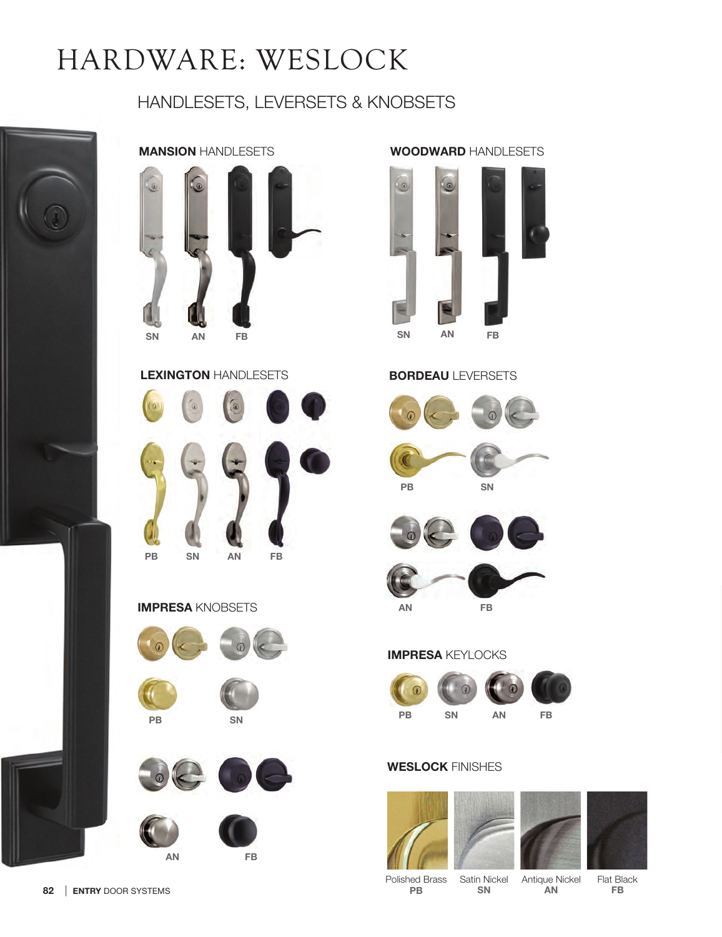# HARDWARE: WESLOCK

# HANDLESETS, LEVERSETS & KNOBSETS



## MANSION HANDLESETS



#### LEXINGTON HANDLESETS



#### IMPRESA KNOBSETS









# WOODWARD HANDLESETS



#### BORDEAU LEVERSETS











### IMPRESA KEYLOCKS





#### WESLOCK FINISHES





AN



Polished Brass PB

Satin Nickel SN Antique Nickel

Flat Black FB